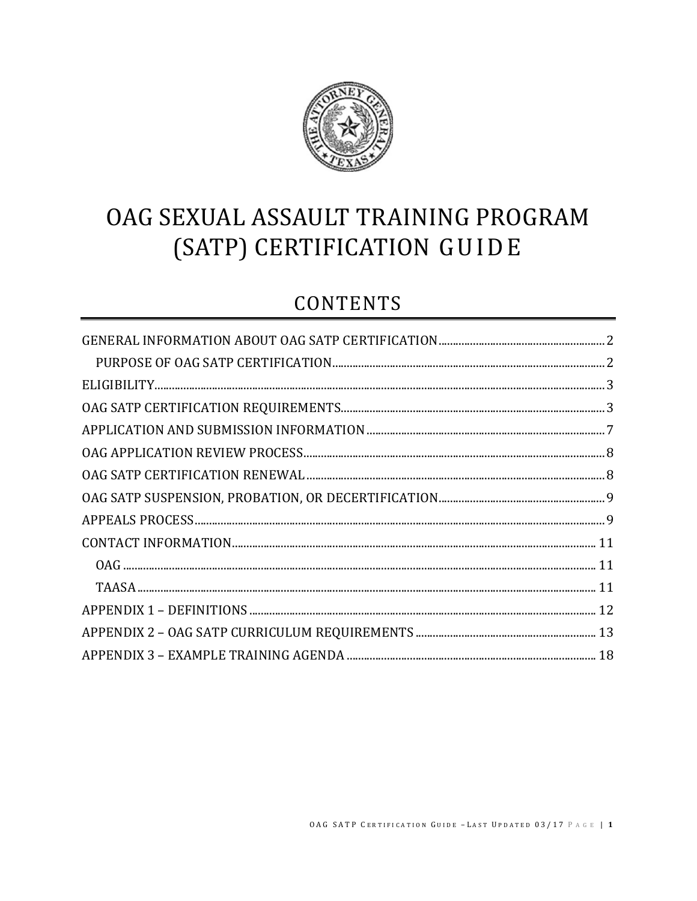

# OAG SEXUAL ASSAULT TRAINING PROGRAM (SATP) CERTIFICATION GUIDE

## **CONTENTS**

| $ELIGIBILITY\n    3$ |  |
|----------------------|--|
|                      |  |
|                      |  |
|                      |  |
|                      |  |
|                      |  |
|                      |  |
|                      |  |
|                      |  |
|                      |  |
|                      |  |
|                      |  |
|                      |  |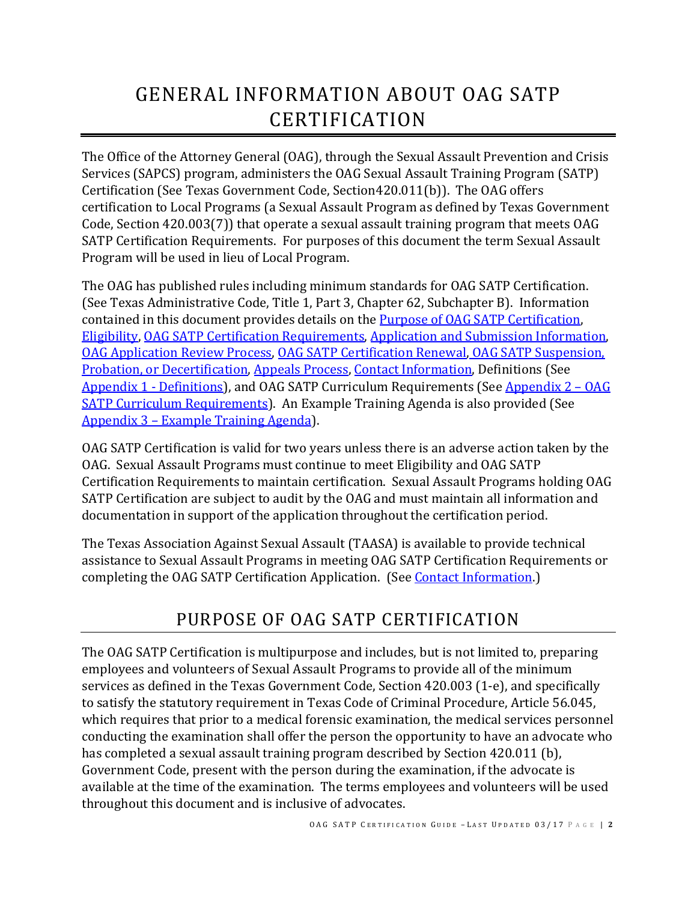# <span id="page-1-0"></span>GENERAL INFORMATION ABOUT OAG SATP CERTIFICATION

The Office of the Attorney General (OAG), through the Sexual Assault Prevention and Crisis Services (SAPCS) program, administers the OAG Sexual Assault Training Program (SATP) Certification (See Texas Government Code, Section420.011(b)). The OAG offers certification to Local Programs (a Sexual Assault Program as defined by Texas Government Code, Section 420.003(7)) that operate a sexual assault training program that meets OAG SATP Certification Requirements. For purposes of this document the term Sexual Assault Program will be used in lieu of Local Program.

The OAG has published rules including minimum standards for OAG SATP Certification. (See Texas Administrative Code, Title 1, Part 3, Chapter 62, Subchapter B). Information contained in this document provides details on the [Purpose of OAG SATP Certification,](#page-1-1) [Eligibility,](#page-2-0) [OAG SATP Certification Requirements,](#page-2-1) [Application and Submission Information,](#page-5-0) [OAG Application Review Process,](#page-7-0) [OAG SATP Certification Renewal,](#page-7-1) [OAG SATP Suspension,](#page-7-2)  [Probation, or Decertification,](#page-7-2) [Appeals](#page-8-1) Process, [Contact Information,](#page-10-0) Definitions (See [Appendix 1](#page-11-0) - Definitions), and OAG SATP Curriculum Requirements (See [Appendix 2](#page-12-0) – OAG [SATP Curriculum Requirements\)](#page-12-0). An Example Training Agenda is also provided (See Appendix 3 – [Example Training Agenda\)](#page-17-0).

OAG SATP Certification is valid for two years unless there is an adverse action taken by the OAG. Sexual Assault Programs must continue to meet Eligibility and OAG SATP Certification Requirements to maintain certification. Sexual Assault Programs holding OAG SATP Certification are subject to audit by the OAG and must maintain all information and documentation in support of the application throughout the certification period.

The Texas Association Against Sexual Assault (TAASA) is available to provide technical assistance to Sexual Assault Programs in meeting OAG SATP Certification Requirements or completing the OAG SATP Certification Application. (See [Contact Information.](#page-10-0))

### PURPOSE OF OAG SATP CERTIFICATION

<span id="page-1-1"></span>The OAG SATP Certification is multipurpose and includes, but is not limited to, preparing employees and volunteers of Sexual Assault Programs to provide all of the minimum services as defined in the Texas Government Code, Section 420.003 (1-e), and specifically to satisfy the statutory requirement in Texas Code of Criminal Procedure, Article 56.045, which requires that prior to a medical forensic examination, the medical services personnel conducting the examination shall offer the person the opportunity to have an advocate who has completed a sexual assault training program described by Section 420.011 (b), Government Code, present with the person during the examination, if the advocate is available at the time of the examination. The terms employees and volunteers will be used throughout this document and is inclusive of advocates.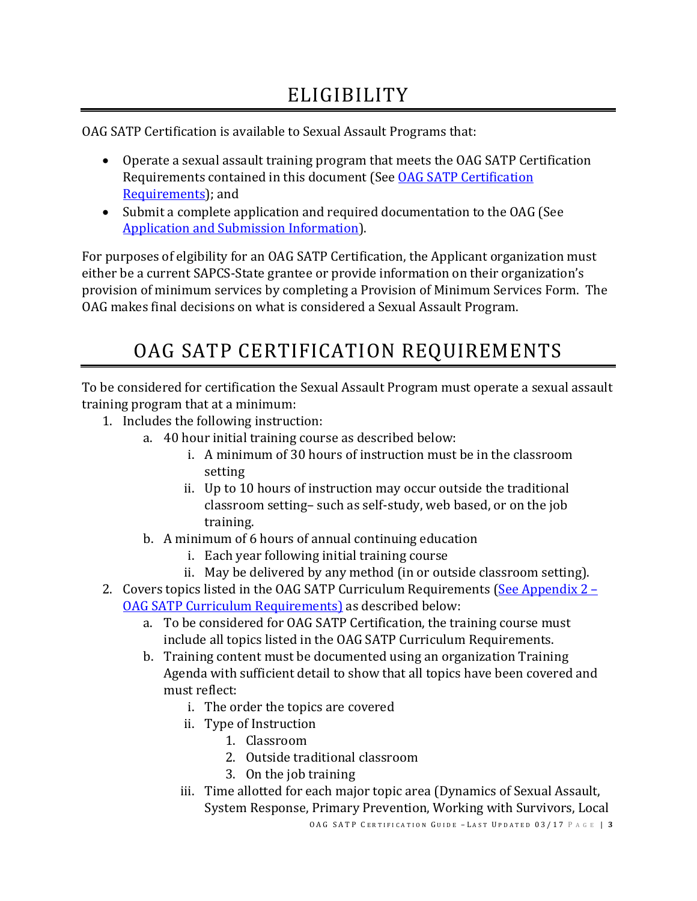<span id="page-2-0"></span>OAG SATP Certification is available to Sexual Assault Programs that:

- Operate a sexual assault training program that meets the OAG SATP Certification Requirements contained in this document (See [OAG SATP Certification](#page-2-1)  [Requirements\)](#page-2-1); and
- Submit a complete application and required documentation to the OAG (See [Application and Submission Information\)](#page-5-0).

For purposes of elgibility for an OAG SATP Certification, the Applicant organization must either be a current SAPCS-State grantee or provide information on their organization's provision of minimum services by completing a Provision of Minimum Services Form. The OAG makes final decisions on what is considered a Sexual Assault Program.

# OAG SATP CERTIFICATION REQUIREMENTS

<span id="page-2-1"></span>To be considered for certification the Sexual Assault Program must operate a sexual assault training program that at a minimum:

- 1. Includes the following instruction:
	- a. 40 hour initial training course as described below:
		- i. A minimum of 30 hours of instruction must be in the classroom setting
		- ii. Up to 10 hours of instruction may occur outside the traditional classroom setting– such as self-study, web based, or on the job training.
	- b. A minimum of 6 hours of annual continuing education
		- i. Each year following initial training course
		- ii. May be delivered by any method (in or outside classroom setting).
- 2. Covers topics listed in the OAG SATP Curriculum Requirements [\(See Appendix 2 –](#page-12-0) [OAG SATP Curriculum Requirements\)](#page-12-0) as described below:
	- a. To be considered for OAG SATP Certification, the training course must include all topics listed in the OAG SATP Curriculum Requirements.
	- b. Training content must be documented using an organization Training Agenda with sufficient detail to show that all topics have been covered and must reflect:
		- i. The order the topics are covered
		- ii. Type of Instruction
			- 1. Classroom
			- 2. Outside traditional classroom
			- 3. On the job training
		- iii. Time allotted for each major topic area (Dynamics of Sexual Assault, System Response, Primary Prevention, Working with Survivors, Local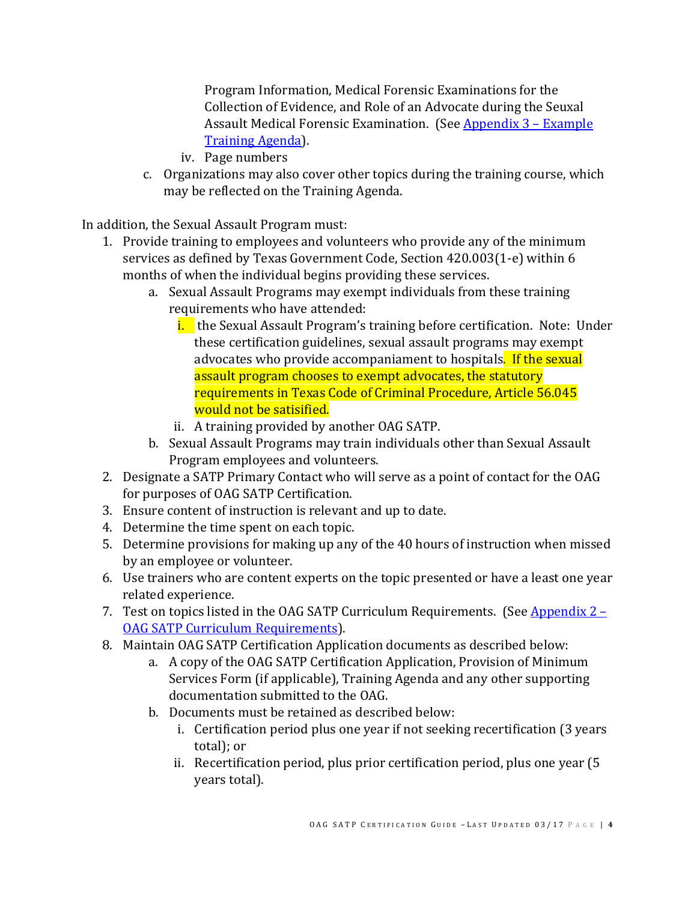Program Information, Medical Forensic Examinations for the Collection of Evidence, and Role of an Advocate during the Seuxal Assault Medical Forensic Examination. (See [Appendix 3](#page-17-0) – Example [Training Agenda\)](#page-17-0).

- iv. Page numbers
- c. Organizations may also cover other topics during the training course, which may be reflected on the Training Agenda.

In addition, the Sexual Assault Program must:

- 1. Provide training to employees and volunteers who provide any of the minimum services as defined by Texas Government Code, Section 420.003(1-e) within 6 months of when the individual begins providing these services.
	- a. Sexual Assault Programs may exempt individuals from these training requirements who have attended:
		- i. the Sexual Assault Program's training before certification. Note: Under these certification guidelines, sexual assault programs may exempt advocates who provide accompaniament to hospitals. If the sexual assault program chooses to exempt advocates, the statutory requirements in Texas Code of Criminal Procedure, Article 56.045 would not be satisified.
		- ii. A training provided by another OAG SATP.
	- b. Sexual Assault Programs may train individuals other than Sexual Assault Program employees and volunteers.
- 2. Designate a SATP Primary Contact who will serve as a point of contact for the OAG for purposes of OAG SATP Certification.
- 3. Ensure content of instruction is relevant and up to date.
- 4. Determine the time spent on each topic.
- 5. Determine provisions for making up any of the 40 hours of instruction when missed by an employee or volunteer.
- 6. Use trainers who are content experts on the topic presented or have a least one year related experience.
- 7. Test on topics listed in the OAG SATP Curriculum Requirements. (See Appendix  $2 -$ [OAG SATP Curriculum Requirements\)](#page-12-0).
- 8. Maintain OAG SATP Certification Application documents as described below:
	- a. A copy of the OAG SATP Certification Application, Provision of Minimum Services Form (if applicable), Training Agenda and any other supporting documentation submitted to the OAG.
	- b. Documents must be retained as described below:
		- i. Certification period plus one year if not seeking recertification (3 years total); or
		- ii. Recertification period, plus prior certification period, plus one year (5 years total).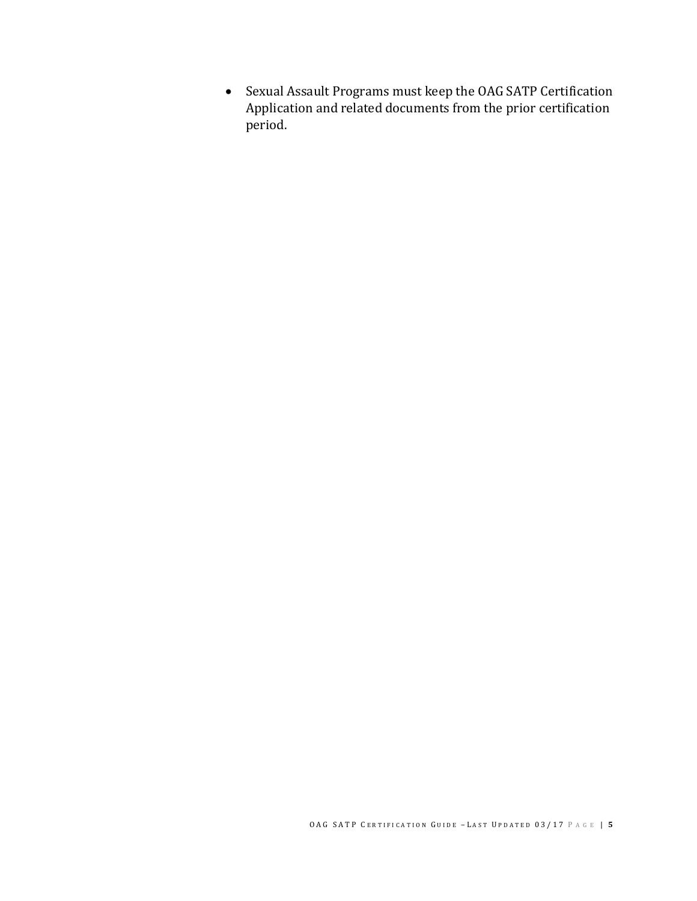• Sexual Assault Programs must keep the OAG SATP Certification Application and related documents from the prior certification period.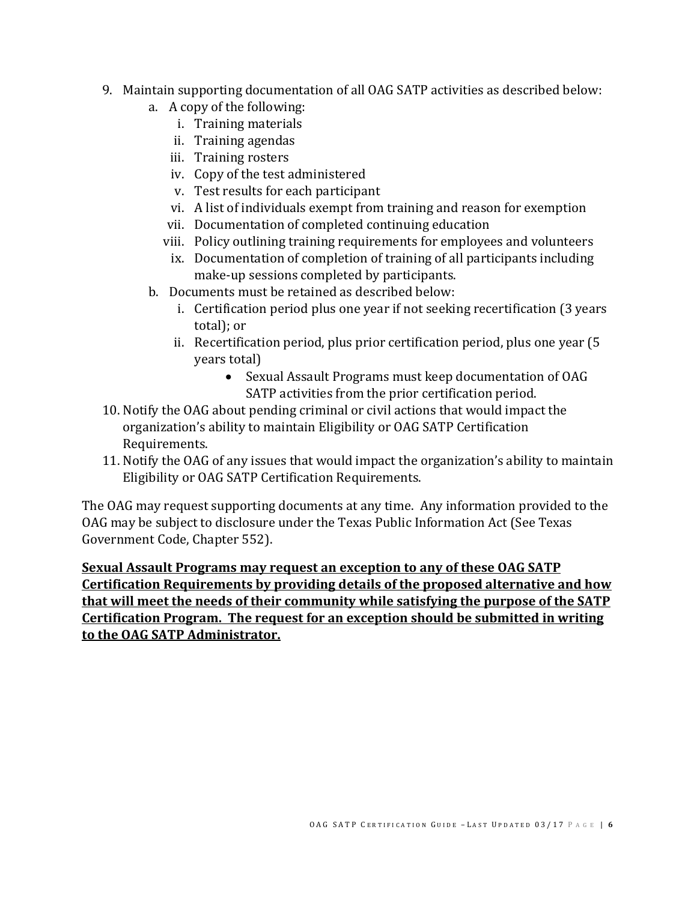- 9. Maintain supporting documentation of all OAG SATP activities as described below:
	- a. A copy of the following:
		- i. Training materials
		- ii. Training agendas
		- iii. Training rosters
		- iv. Copy of the test administered
		- v. Test results for each participant
		- vi. A list of individuals exempt from training and reason for exemption
		- vii. Documentation of completed continuing education
		- viii. Policy outlining training requirements for employees and volunteers
		- ix. Documentation of completion of training of all participants including make-up sessions completed by participants.
	- b. Documents must be retained as described below:
		- i. Certification period plus one year if not seeking recertification (3 years total); or
		- ii. Recertification period, plus prior certification period, plus one year (5 years total)
			- Sexual Assault Programs must keep documentation of OAG SATP activities from the prior certification period.
- 10. Notify the OAG about pending criminal or civil actions that would impact the organization's ability to maintain Eligibility or OAG SATP Certification Requirements.
- 11. Notify the OAG of any issues that would impact the organization's ability to maintain Eligibility or OAG SATP Certification Requirements.

The OAG may request supporting documents at any time. Any information provided to the OAG may be subject to disclosure under the Texas Public Information Act (See Texas Government Code, Chapter 552).

<span id="page-5-0"></span>**Sexual Assault Programs may request an exception to any of these OAG SATP Certification Requirements by providing details of the proposed alternative and how that will meet the needs of their community while satisfying the purpose of the SATP Certification Program. The request for an exception should be submitted in writing to the OAG SATP Administrator.**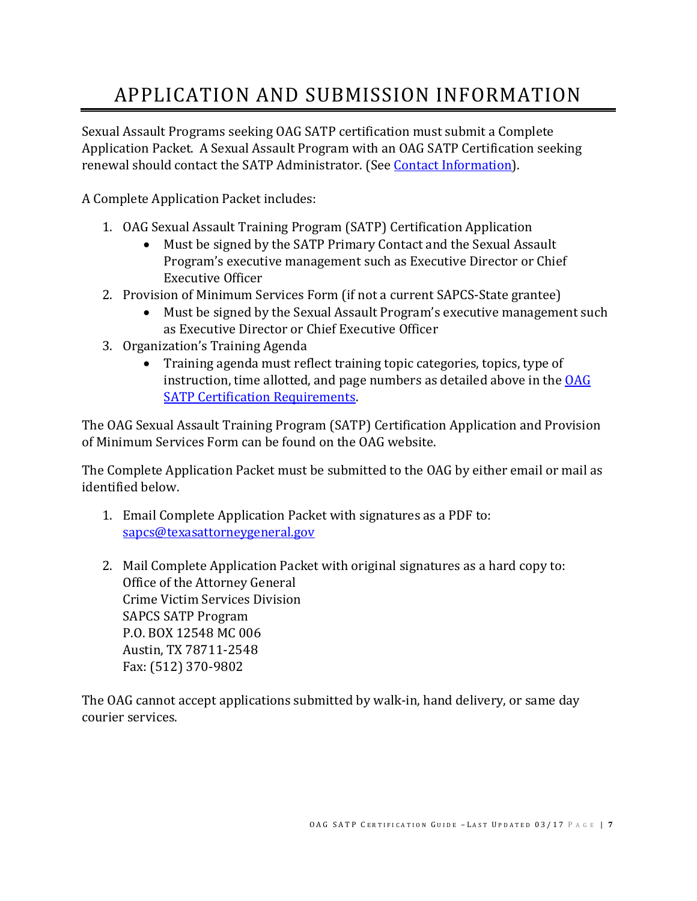# <span id="page-6-0"></span>APPLICATION AND SUBMISSION INFORMATION

Sexual Assault Programs seeking OAG SATP certification must submit a Complete Application Packet. A Sexual Assault Program with an OAG SATP Certification seeking renewal should contact the SATP Administrator. (See [Contact Information\)](#page-10-0).

A Complete Application Packet includes:

- 1. OAG Sexual Assault Training Program (SATP) Certification Application
	- Must be signed by the SATP Primary Contact and the Sexual Assault Program's executive management such as Executive Director or Chief Executive Officer
- 2. Provision of Minimum Services Form (if not a current SAPCS-State grantee)
	- Must be signed by the Sexual Assault Program's executive management such as Executive Director or Chief Executive Officer
- 3. Organization's Training Agenda
	- Training agenda must reflect training topic categories, topics, type of instruction, time allotted, and page numbers as detailed above in the  $OAG$ [SATP Certification Requirements.](#page-2-1)

The OAG Sexual Assault Training Program (SATP) Certification Application and Provision of Minimum Services Form can be found on the OAG website.

The Complete Application Packet must be submitted to the OAG by either email or mail as identified below.

- 1. Email Complete Application Packet with signatures as a PDF to: [sapcs@texasattorneygeneral.gov](mailto:sapcs@texasattorneygeneral.gov)
- 2. Mail Complete Application Packet with original signatures as a hard copy to: Office of the Attorney General Crime Victim Services Division SAPCS SATP Program P.O. BOX 12548 MC 006 Austin, TX 78711-2548 Fax: (512) 370-9802

The OAG cannot accept applications submitted by walk-in, hand delivery, or same day courier services.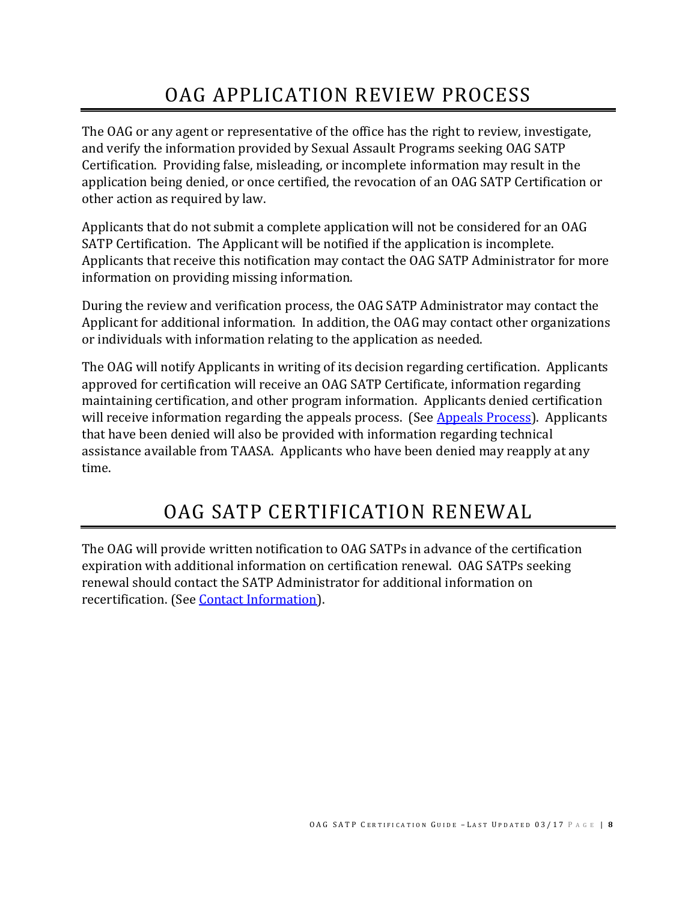# OAG APPLICATION REVIEW PROCESS

<span id="page-7-0"></span>The OAG or any agent or representative of the office has the right to review, investigate, and verify the information provided by Sexual Assault Programs seeking OAG SATP Certification. Providing false, misleading, or incomplete information may result in the application being denied, or once certified, the revocation of an OAG SATP Certification or other action as required by law.

Applicants that do not submit a complete application will not be considered for an OAG SATP Certification. The Applicant will be notified if the application is incomplete. Applicants that receive this notification may contact the OAG SATP Administrator for more information on providing missing information.

During the review and verification process, the OAG SATP Administrator may contact the Applicant for additional information. In addition, the OAG may contact other organizations or individuals with information relating to the application as needed.

The OAG will notify Applicants in writing of its decision regarding certification. Applicants approved for certification will receive an OAG SATP Certificate, information regarding maintaining certification, and other program information. Applicants denied certification will receive information regarding the appeals process. (Se[e Appeals Process\)](#page-8-1). Applicants that have been denied will also be provided with information regarding technical assistance available from TAASA. Applicants who have been denied may reapply at any time.

## OAG SATP CERTIFICATION RENEWAL

<span id="page-7-2"></span><span id="page-7-1"></span>The OAG will provide written notification to OAG SATPs in advance of the certification expiration with additional information on certification renewal. OAG SATPs seeking renewal should contact the SATP Administrator for additional information on recertification. (See [Contact Information\)](#page-10-0).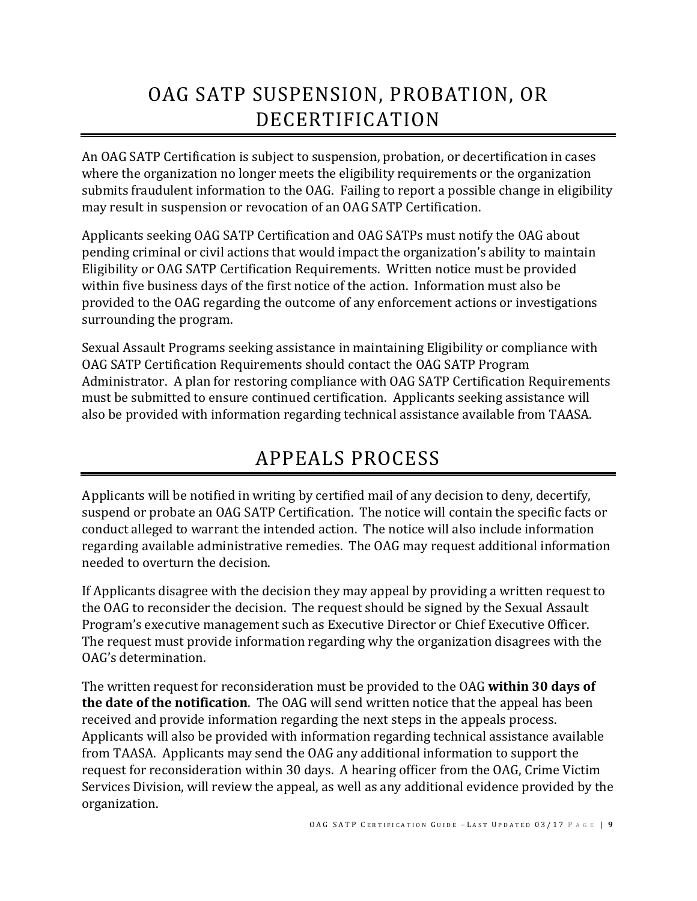# <span id="page-8-0"></span>OAG SATP SUSPENSION, PROBATION, OR DECERTIFICATION

An OAG SATP Certification is subject to suspension, probation, or decertification in cases where the organization no longer meets the eligibility requirements or the organization submits fraudulent information to the OAG. Failing to report a possible change in eligibility may result in suspension or revocation of an OAG SATP Certification.

Applicants seeking OAG SATP Certification and OAG SATPs must notify the OAG about pending criminal or civil actions that would impact the organization's ability to maintain Eligibility or OAG SATP Certification Requirements. Written notice must be provided within five business days of the first notice of the action. Information must also be provided to the OAG regarding the outcome of any enforcement actions or investigations surrounding the program.

Sexual Assault Programs seeking assistance in maintaining Eligibility or compliance with OAG SATP Certification Requirements should contact the OAG SATP Program Administrator. A plan for restoring compliance with OAG SATP Certification Requirements must be submitted to ensure continued certification. Applicants seeking assistance will also be provided with information regarding technical assistance available from TAASA.

## APPEALS PROCESS

<span id="page-8-1"></span>Applicants will be notified in writing by certified mail of any decision to deny, decertify, suspend or probate an OAG SATP Certification. The notice will contain the specific facts or conduct alleged to warrant the intended action. The notice will also include information regarding available administrative remedies. The OAG may request additional information needed to overturn the decision.

If Applicants disagree with the decision they may appeal by providing a written request to the OAG to reconsider the decision. The request should be signed by the Sexual Assault Program's executive management such as Executive Director or Chief Executive Officer. The request must provide information regarding why the organization disagrees with the OAG's determination.

The written request for reconsideration must be provided to the OAG **within 30 days of the date of the notification**. The OAG will send written notice that the appeal has been received and provide information regarding the next steps in the appeals process. Applicants will also be provided with information regarding technical assistance available from TAASA. Applicants may send the OAG any additional information to support the request for reconsideration within 30 days. A hearing officer from the OAG, Crime Victim Services Division, will review the appeal, as well as any additional evidence provided by the organization.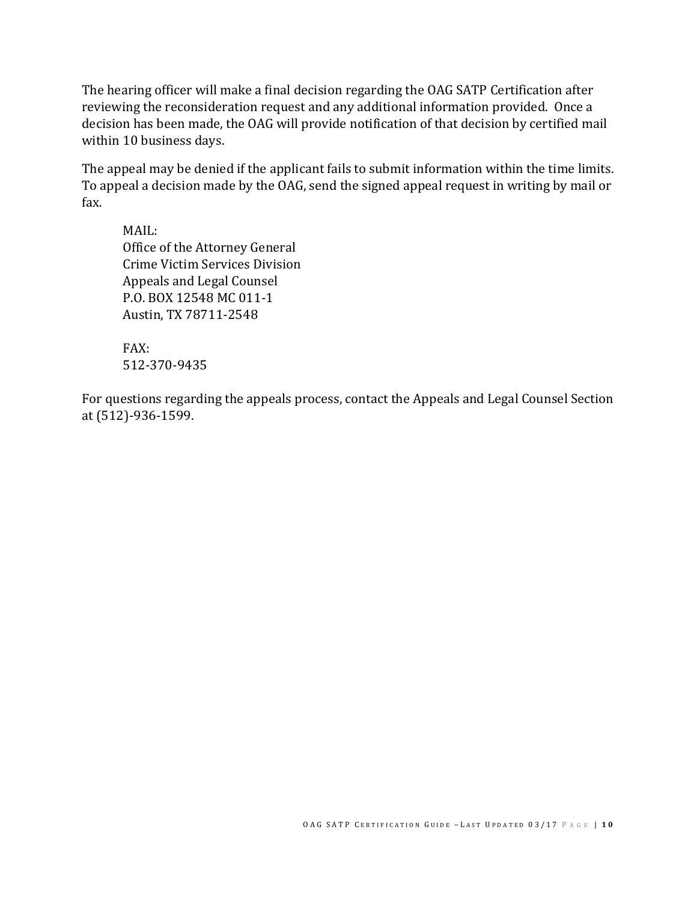The hearing officer will make a final decision regarding the OAG SATP Certification after reviewing the reconsideration request and any additional information provided. Once a decision has been made, the OAG will provide notification of that decision by certified mail within 10 business days.

The appeal may be denied if the applicant fails to submit information within the time limits. To appeal a decision made by the OAG, send the signed appeal request in writing by mail or fax.

MAIL: Office of the Attorney General Crime Victim Services Division Appeals and Legal Counsel P.O. BOX 12548 MC 011-1 Austin, TX 78711-2548

FAX: [512-370-9435](mailto:sapcs@texasattorneygeneral.gov?subject=SANE%20Certification%20or%20Re-Certification%20Application%20Packet)

For questions regarding the appeals process, contact the Appeals and Legal Counsel Section at (512)-936-1599.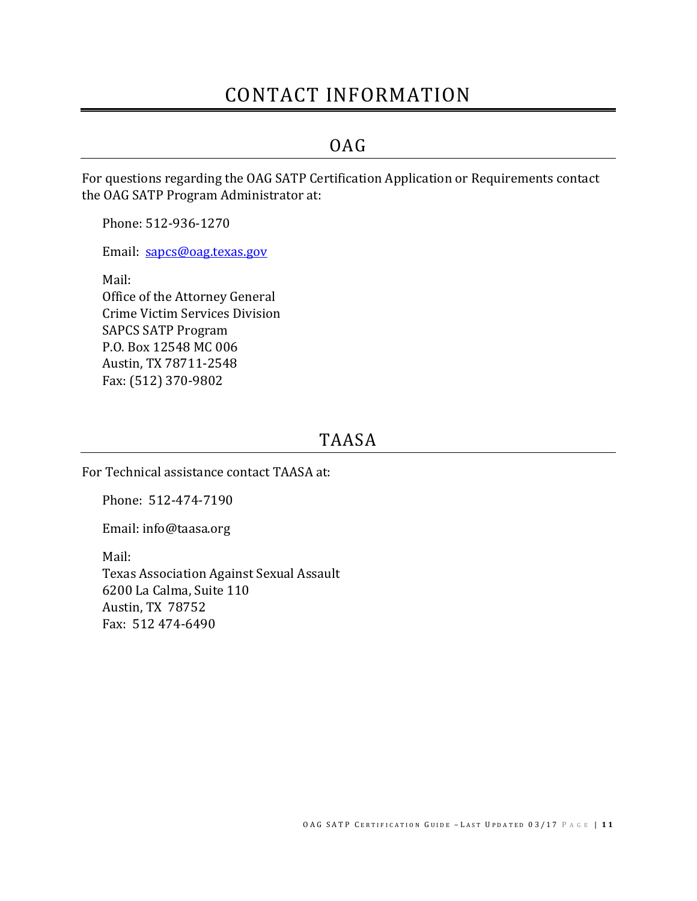### CONTACT INFORMATION

### OAG

<span id="page-10-1"></span><span id="page-10-0"></span>For questions regarding the OAG SATP Certification Application or Requirements contact the OAG SATP Program Administrator at:

Phone: 512-936-1270

Email: [sapcs@oag.texas.gov](mailto:sapcs@oag.texas.gov)

Mail: Office of the Attorney General Crime Victim Services Division SAPCS SATP Program P.O. Box 12548 MC 006 Austin, TX 78711-2548 Fax: (512) 370-9802

### TAASA

<span id="page-10-2"></span>For Technical assistance contact TAASA at:

Phone: 512-474-7190

Email: info@taasa.org

Mail:

Texas Association Against Sexual Assault 6200 La Calma, Suite 110 Austin, TX 78752 Fax: 512 474-6490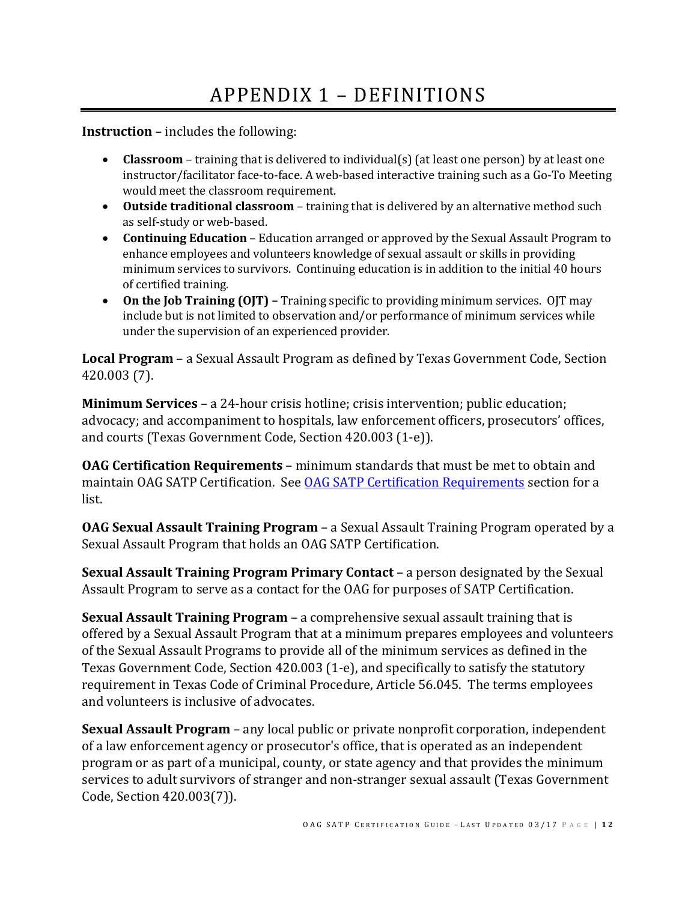# APPENDIX 1 – DEFINITIONS

<span id="page-11-0"></span>**Instruction** – includes the following:

- **Classroom** training that is delivered to individual(s) (at least one person) by at least one instructor/facilitator face-to-face. A web-based interactive training such as a Go-To Meeting would meet the classroom requirement.
- **Outside traditional classroom**  training that is delivered by an alternative method such as self-study or web-based.
- **Continuing Education** Education arranged or approved by the Sexual Assault Program to enhance employees and volunteers knowledge of sexual assault or skills in providing minimum services to survivors. Continuing education is in addition to the initial 40 hours of certified training.
- On the Job Training (OJT) Training specific to providing minimum services. OJT may include but is not limited to observation and/or performance of minimum services while under the supervision of an experienced provider.

**Local Program** – a Sexual Assault Program as defined by Texas Government Code, Section 420.003 (7).

**Minimum Services** – a 24-hour crisis hotline; crisis intervention; public education; advocacy; and accompaniment to hospitals, law enforcement officers, prosecutors' offices, and courts (Texas Government Code, Section 420.003 (1-e)).

**OAG Certification Requirements** – minimum standards that must be met to obtain and maintain OAG SATP Certification. See **OAG SATP Certification Requirements** section for a list.

**OAG Sexual Assault Training Program** – a Sexual Assault Training Program operated by a Sexual Assault Program that holds an OAG SATP Certification.

**Sexual Assault Training Program Primary Contact** – a person designated by the Sexual Assault Program to serve as a contact for the OAG for purposes of SATP Certification.

**Sexual Assault Training Program** – a comprehensive sexual assault training that is offered by a Sexual Assault Program that at a minimum prepares employees and volunteers of the Sexual Assault Programs to provide all of the minimum services as defined in the Texas Government Code, Section 420.003 (1-e), and specifically to satisfy the statutory requirement in Texas Code of Criminal Procedure, Article 56.045. The terms employees and volunteers is inclusive of advocates.

**Sexual Assault Program** – any local public or private nonprofit corporation, independent of a law enforcement agency or prosecutor's office, that is operated as an independent program or as part of a municipal, county, or state agency and that provides the minimum services to adult survivors of stranger and non-stranger sexual assault (Texas Government Code, Section 420.003(7)).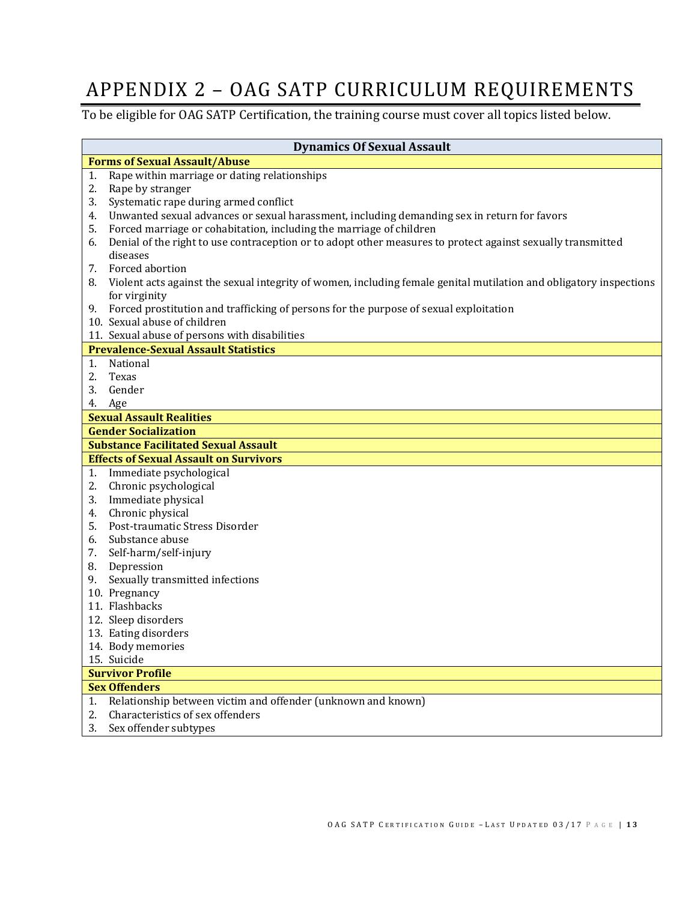## <span id="page-12-0"></span>APPENDIX 2 – OAG SATP CURRICULUM REQUIREMENTS

To be eligible for OAG SATP Certification, the training course must cover all topics listed below.

| <b>Dynamics Of Sexual Assault</b>    |                                                                                                                    |  |
|--------------------------------------|--------------------------------------------------------------------------------------------------------------------|--|
| <b>Forms of Sexual Assault/Abuse</b> |                                                                                                                    |  |
| 1.                                   | Rape within marriage or dating relationships                                                                       |  |
| 2.                                   | Rape by stranger                                                                                                   |  |
| 3.                                   | Systematic rape during armed conflict                                                                              |  |
| 4.                                   | Unwanted sexual advances or sexual harassment, including demanding sex in return for favors                        |  |
| 5.                                   | Forced marriage or cohabitation, including the marriage of children                                                |  |
| 6.                                   | Denial of the right to use contraception or to adopt other measures to protect against sexually transmitted        |  |
|                                      | diseases                                                                                                           |  |
| 7.                                   | Forced abortion                                                                                                    |  |
| 8.                                   | Violent acts against the sexual integrity of women, including female genital mutilation and obligatory inspections |  |
|                                      | for virginity                                                                                                      |  |
| 9.                                   | Forced prostitution and trafficking of persons for the purpose of sexual exploitation                              |  |
|                                      | 10. Sexual abuse of children                                                                                       |  |
|                                      | 11. Sexual abuse of persons with disabilities                                                                      |  |
|                                      | <b>Prevalence-Sexual Assault Statistics</b>                                                                        |  |
| 1.                                   | National                                                                                                           |  |
| 2.                                   | Texas                                                                                                              |  |
| 3.                                   | Gender                                                                                                             |  |
| 4.                                   | Age                                                                                                                |  |
|                                      | <b>Sexual Assault Realities</b>                                                                                    |  |
|                                      | <b>Gender Socialization</b>                                                                                        |  |
|                                      | <b>Substance Facilitated Sexual Assault</b>                                                                        |  |
|                                      | <b>Effects of Sexual Assault on Survivors</b>                                                                      |  |
| 1.                                   | Immediate psychological                                                                                            |  |
| 2.                                   | Chronic psychological                                                                                              |  |
| 3.                                   | Immediate physical                                                                                                 |  |
| 4.                                   | Chronic physical                                                                                                   |  |
| 5.                                   | Post-traumatic Stress Disorder                                                                                     |  |
| 6.                                   | Substance abuse                                                                                                    |  |
| 7.                                   | Self-harm/self-injury                                                                                              |  |
| 8.                                   | Depression                                                                                                         |  |
| 9.                                   | Sexually transmitted infections                                                                                    |  |
|                                      | 10. Pregnancy                                                                                                      |  |
|                                      | 11. Flashbacks                                                                                                     |  |
|                                      | 12. Sleep disorders                                                                                                |  |
|                                      | 13. Eating disorders                                                                                               |  |
|                                      | 14. Body memories                                                                                                  |  |
|                                      | 15. Suicide                                                                                                        |  |
|                                      | <b>Survivor Profile</b>                                                                                            |  |
|                                      | <b>Sex Offenders</b>                                                                                               |  |
| 1.                                   | Relationship between victim and offender (unknown and known)                                                       |  |
| 2.                                   | Characteristics of sex offenders                                                                                   |  |
| 3.                                   | Sex offender subtypes                                                                                              |  |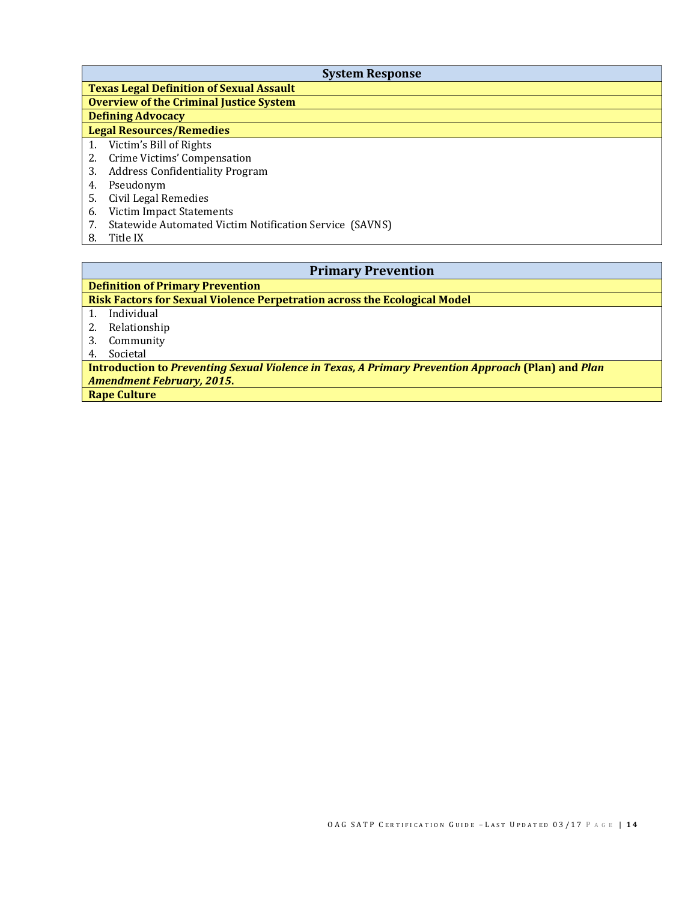| <b>System Response</b>                                        |  |  |
|---------------------------------------------------------------|--|--|
| <b>Texas Legal Definition of Sexual Assault</b>               |  |  |
| <b>Overview of the Criminal Justice System</b>                |  |  |
| <b>Defining Advocacy</b>                                      |  |  |
| <b>Legal Resources/Remedies</b>                               |  |  |
| Victim's Bill of Rights<br>1.                                 |  |  |
| Crime Victims' Compensation<br>2.                             |  |  |
| <b>Address Confidentiality Program</b><br>3.                  |  |  |
| Pseudonym<br>4.                                               |  |  |
| Civil Legal Remedies<br>5.                                    |  |  |
| Victim Impact Statements<br>6.                                |  |  |
| Statewide Automated Victim Notification Service (SAVNS)<br>7. |  |  |
| Title IX<br>8.                                                |  |  |

| <b>Primary Prevention</b>                                                                          |  |  |
|----------------------------------------------------------------------------------------------------|--|--|
| <b>Definition of Primary Prevention</b>                                                            |  |  |
| Risk Factors for Sexual Violence Perpetration across the Ecological Model                          |  |  |
| Individual                                                                                         |  |  |
| Relationship                                                                                       |  |  |
| Community<br>3.                                                                                    |  |  |
| Societal<br>4.                                                                                     |  |  |
| Introduction to Preventing Sexual Violence in Texas, A Primary Prevention Approach (Plan) and Plan |  |  |
| <b>Amendment February, 2015.</b>                                                                   |  |  |
| <b>Rape Culture</b>                                                                                |  |  |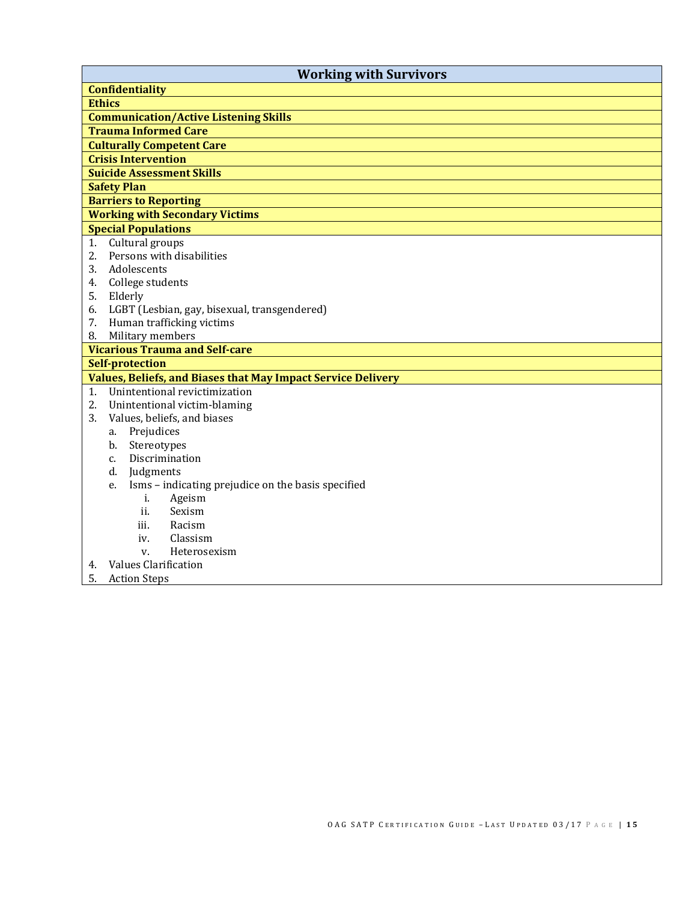| <b>Working with Survivors</b>                                       |  |  |
|---------------------------------------------------------------------|--|--|
| <b>Confidentiality</b>                                              |  |  |
| <b>Ethics</b>                                                       |  |  |
| <b>Communication/Active Listening Skills</b>                        |  |  |
| <b>Trauma Informed Care</b>                                         |  |  |
| <b>Culturally Competent Care</b>                                    |  |  |
| <b>Crisis Intervention</b>                                          |  |  |
| <b>Suicide Assessment Skills</b>                                    |  |  |
| <b>Safety Plan</b>                                                  |  |  |
| <b>Barriers to Reporting</b>                                        |  |  |
| <b>Working with Secondary Victims</b>                               |  |  |
| <b>Special Populations</b>                                          |  |  |
| Cultural groups<br>1.                                               |  |  |
| Persons with disabilities<br>2.                                     |  |  |
| Adolescents<br>3.                                                   |  |  |
| College students<br>4.                                              |  |  |
| 5.<br>Elderly                                                       |  |  |
| LGBT (Lesbian, gay, bisexual, transgendered)<br>6.                  |  |  |
| Human trafficking victims<br>7.                                     |  |  |
| Military members<br>8.                                              |  |  |
| <b>Vicarious Trauma and Self-care</b>                               |  |  |
| <b>Self-protection</b>                                              |  |  |
| <b>Values, Beliefs, and Biases that May Impact Service Delivery</b> |  |  |
| Unintentional revictimization<br>1.                                 |  |  |
| 2.<br>Unintentional victim-blaming                                  |  |  |
| 3.<br>Values, beliefs, and biases                                   |  |  |
| Prejudices<br>a.                                                    |  |  |
| Stereotypes<br>b.                                                   |  |  |
| Discrimination<br>c.                                                |  |  |
| d.<br>Judgments                                                     |  |  |
| Isms - indicating prejudice on the basis specified<br>e.            |  |  |
| i.<br>Ageism                                                        |  |  |
| ii.<br>Sexism<br>iii.                                               |  |  |
| Racism                                                              |  |  |
| Classism<br>iv.<br>Heterosexism<br>V.                               |  |  |
| <b>Values Clarification</b>                                         |  |  |
| 4.<br>5.                                                            |  |  |
| <b>Action Steps</b>                                                 |  |  |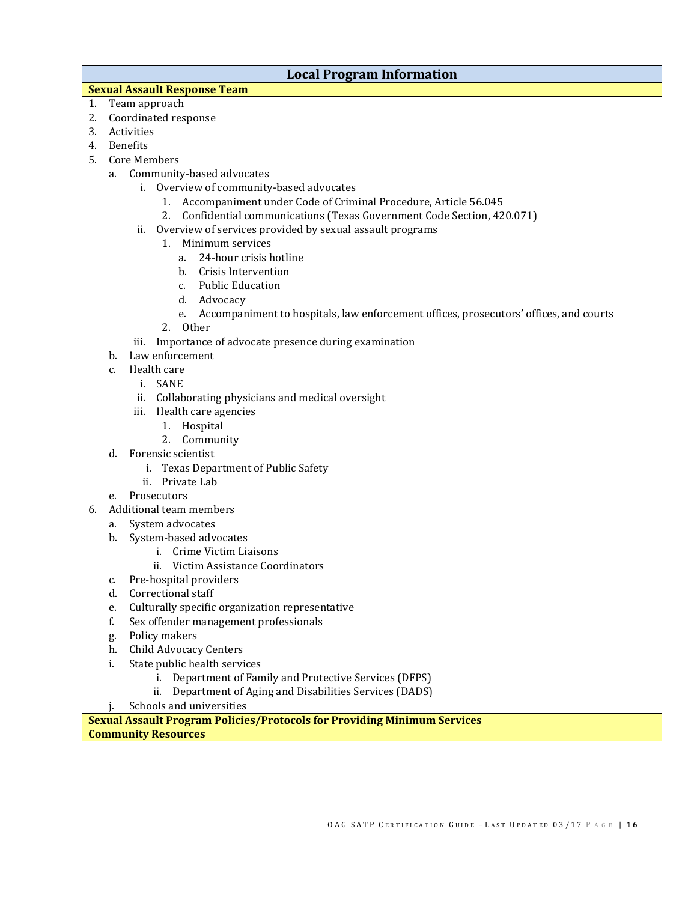### **Local Program Information**

### **Sexual Assault Response Team**

- 1. Team approach
- 2. Coordinated response
- 3. Activities
- 4. Benefits
- 5. Core Members
	- a. Community-based advocates
		- i. Overview of community-based advocates
			- 1. Accompaniment under Code of Criminal Procedure, Article 56.045
			- 2. Confidential communications (Texas Government Code Section, 420.071)
		- ii. Overview of services provided by sexual assault programs
			- 1. Minimum services
				- a. 24-hour crisis hotline
				- b. Crisis Intervention
				- c. Public Education
				- d. Advocacy
				- e. Accompaniment to hospitals, law enforcement offices, prosecutors' offices, and courts
			- 2. Other
		- iii. Importance of advocate presence during examination
	- b. Law enforcement
	- c. Health care
		- i. SANE
		- ii. Collaborating physicians and medical oversight
		- iii. Health care agencies
			- 1. Hospital
			- 2. Community
	- d. Forensic scientist
		- i. Texas Department of Public Safety
		- ii. Private Lab
	- e. Prosecutors
- 6. Additional team members
	- a. System advocates
	- b. System-based advocates
		- i. Crime Victim Liaisons
		- ii. Victim Assistance Coordinators
	- c. Pre-hospital providers
	- d. Correctional staff
	- e. Culturally specific organization representative
	- f. Sex offender management professionals
	- g. Policy makers
	- h. Child Advocacy Centers<br>i. State public health servi
	- State public health services
		- i. Department of Family and Protective Services (DFPS)
		- ii. Department of Aging and Disabilities Services (DADS)
	- j. Schools and universities

**Sexual Assault Program Policies/Protocols for Providing Minimum Services**

**Community Resources**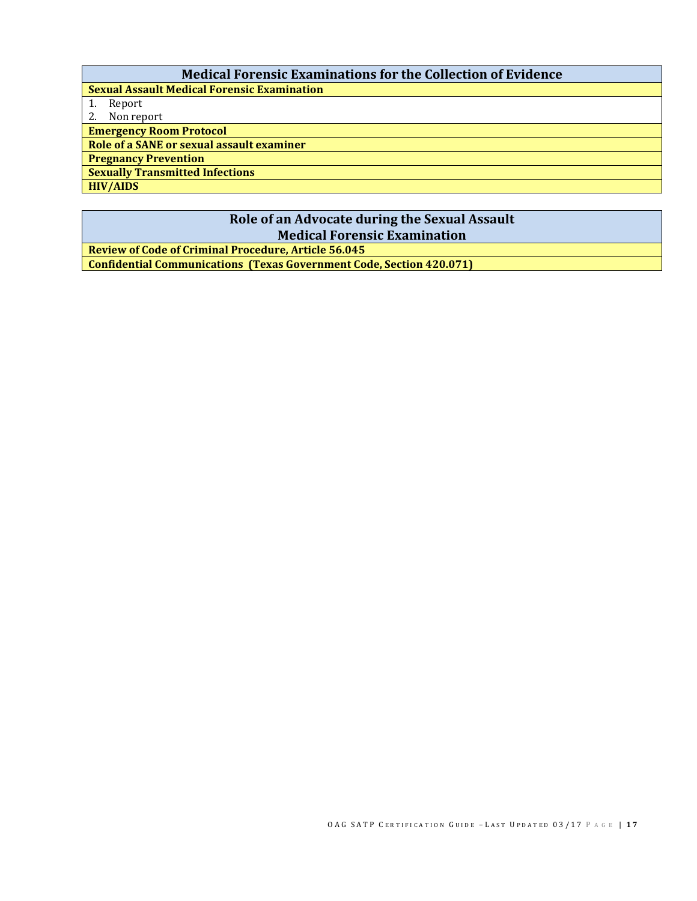### **Medical Forensic Examinations for the Collection of Evidence**

**Sexual Assault Medical Forensic Examination**

1. Report

2. Non report **Emergency Room Protocol**

**Role of a SANE or sexual assault examiner**

**Pregnancy Prevention** 

**Sexually Transmitted Infections**

**HIV/AIDS**

### **Role of an Advocate during the Sexual Assault Medical Forensic Examination**

**Review of Code of Criminal Procedure, Article 56.045 Confidential Communications (Texas Government Code, Section 420.071)**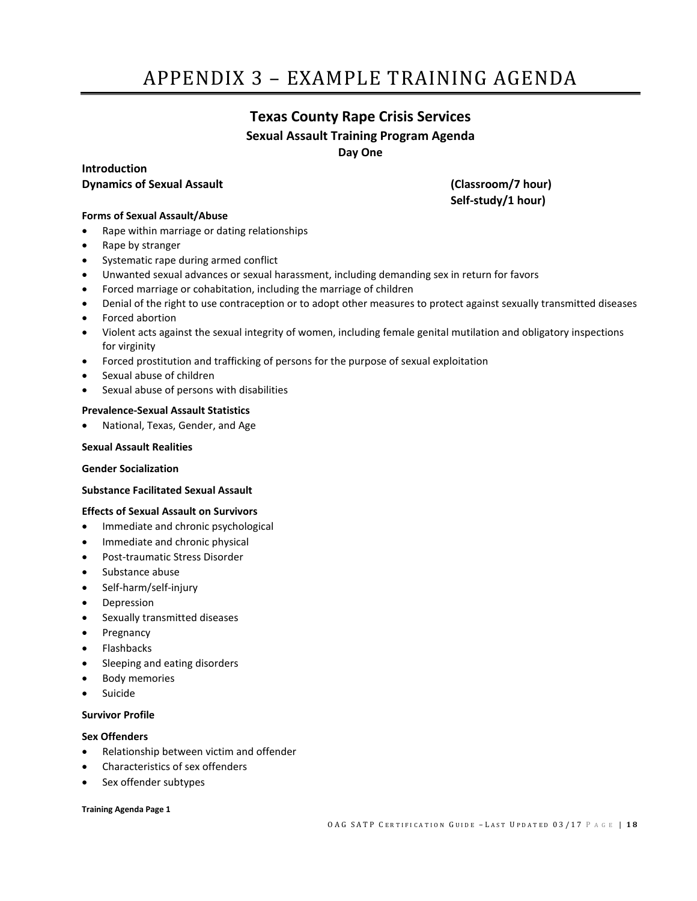# <span id="page-17-0"></span>APPENDIX 3 – EXAMPLE TRAINING AGENDA

### **Texas County Rape Crisis Services Sexual Assault Training Program Agenda Day One**

### **Introduction Dynamics of Sexual Assault (Classroom/7 hour)**

**Self-study/1 hour)**

#### **Forms of Sexual Assault/Abuse**

- Rape within marriage or dating relationships
- Rape by stranger
- Systematic rape during armed conflict
- Unwanted sexual advances or sexual harassment, including demanding sex in return for favors
- Forced marriage or cohabitation, including the marriage of children
- Denial of the right to use contraception or to adopt other measures to protect against sexually transmitted diseases
- Forced abortion
- Violent acts against the sexual integrity of women, including female genital mutilation and obligatory inspections for virginity
- Forced prostitution and trafficking of persons for the purpose of sexual exploitation
- Sexual abuse of children
- Sexual abuse of persons with disabilities

#### **Prevalence-Sexual Assault Statistics**

• National, Texas, Gender, and Age

#### **Sexual Assault Realities**

#### **Gender Socialization**

#### **Substance Facilitated Sexual Assault**

#### **Effects of Sexual Assault on Survivors**

- Immediate and chronic psychological
- Immediate and chronic physical
- Post-traumatic Stress Disorder
- Substance abuse
- Self-harm/self-injury
- **Depression**
- Sexually transmitted diseases
- Pregnancy
- Flashbacks
- Sleeping and eating disorders
- Body memories
- **Suicide**

#### **Survivor Profile**

#### **Sex Offenders**

- Relationship between victim and offender
- Characteristics of sex offenders
- Sex offender subtypes

#### **Training Agenda Page 1**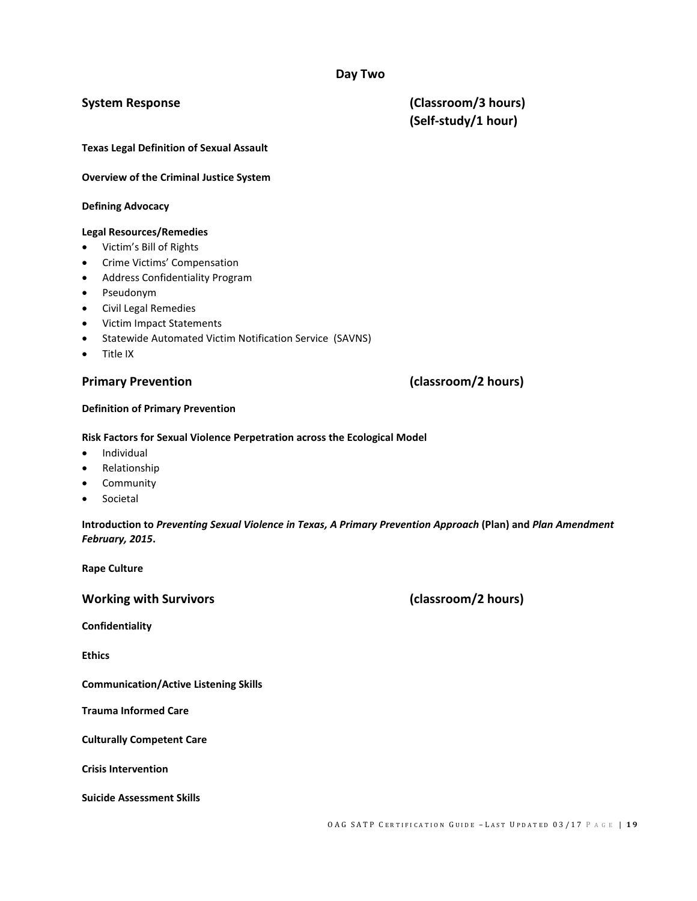### **Day Two**

**System Response (Classroom/3 hours) (Self-study/1 hour)**

**Texas Legal Definition of Sexual Assault**

**Overview of the Criminal Justice System**

#### **Defining Advocacy**

#### **Legal Resources/Remedies**

- Victim's Bill of Rights
- Crime Victims' Compensation
- Address Confidentiality Program
- Pseudonym
- Civil Legal Remedies
- Victim Impact Statements
- Statewide Automated Victim Notification Service (SAVNS)
- Title IX

#### **Definition of Primary Prevention**

#### **Risk Factors for Sexual Violence Perpetration across the Ecological Model**

- Individual
- Relationship
- **Community**
- **Societal**

**Introduction to** *Preventing Sexual Violence in Texas, A Primary Prevention Approach* **(Plan) and** *Plan Amendment February, 2015***.**

**Rape Culture**

**Working with Survivors (classroom/2 hours)**

**Confidentiality**

**Ethics**

**Communication/Active Listening Skills**

**Trauma Informed Care**

**Culturally Competent Care**

**Crisis Intervention**

**Suicide Assessment Skills**

### **Primary Prevention (classroom/2 hours)**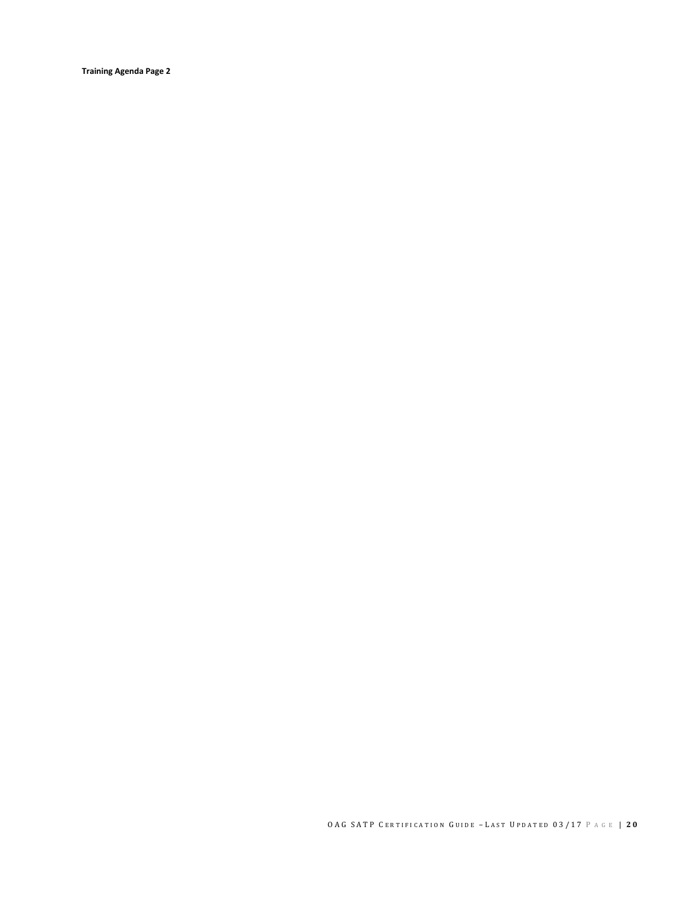**Training Agenda Page 2**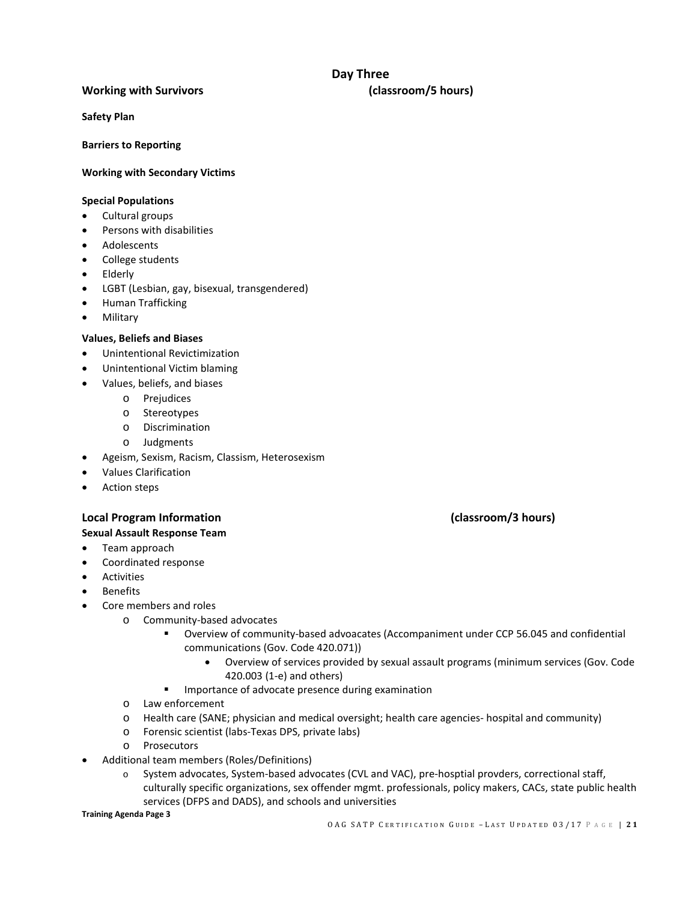### **Day Three**

#### **Working with Survivors (classroom/5 hours)**

**Safety Plan**

**Barriers to Reporting**

#### **Working with Secondary Victims**

#### **Special Populations**

- Cultural groups
- Persons with disabilities
- **Adolescents**
- College students
- Elderly
- LGBT (Lesbian, gay, bisexual, transgendered)
- Human Trafficking
- **Military**

#### **Values, Beliefs and Biases**

- Unintentional Revictimization
- Unintentional Victim blaming
- Values, beliefs, and biases
	- o Prejudices
	- o Stereotypes
	- o Discrimination
	- o Judgments
- Ageism, Sexism, Racism, Classism, Heterosexism
- Values Clarification
- Action steps

### **Local Program Information (classroom/3 hours)**

#### **Sexual Assault Response Team**

- Team approach
- Coordinated response
- **Activities**
- **Benefits**
- Core members and roles
	- o Community-based advocates
		- Overview of community-based advoacates (Accompaniment under CCP 56.045 and confidential communications (Gov. Code 420.071))
			- Overview of services provided by sexual assault programs (minimum services (Gov. Code 420.003 (1-e) and others)
		- **IMPORTANCE OF ADVOCATE PRESENCE during examination**
	- o Law enforcement
	- o Health care (SANE; physician and medical oversight; health care agencies- hospital and community)
	- o Forensic scientist (labs-Texas DPS, private labs)
	- o Prosecutors
- Additional team members (Roles/Definitions)
	- o System advocates, System-based advocates (CVL and VAC), pre-hosptial provders, correctional staff, culturally specific organizations, sex offender mgmt. professionals, policy makers, CACs, state public health services (DFPS and DADS), and schools and universities

**Training Agenda Page 3**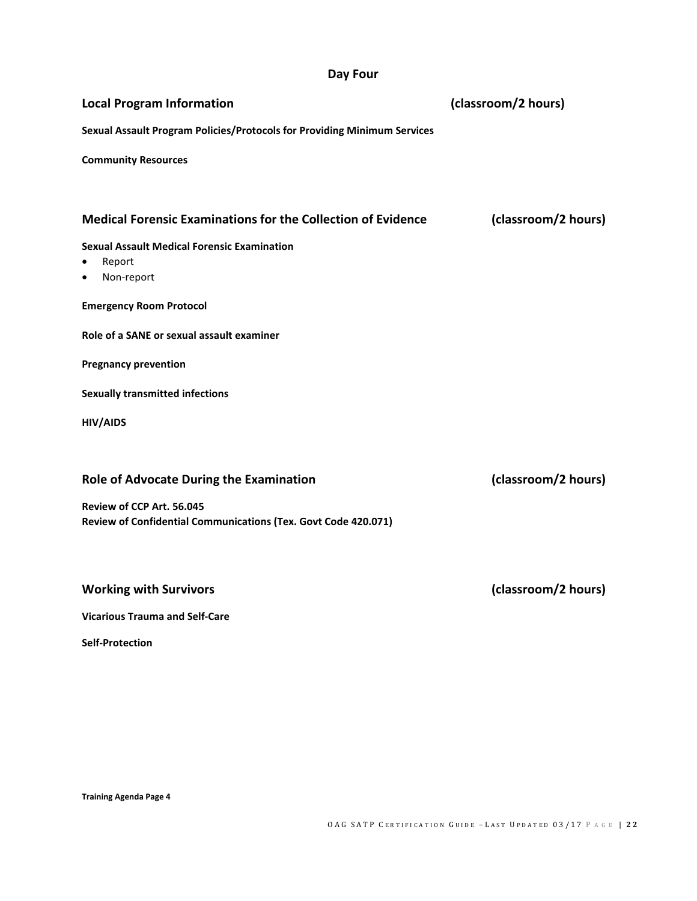### **Day Four**

| <b>Local Program Information</b>                                         | (classroom/2 hours) |  |
|--------------------------------------------------------------------------|---------------------|--|
| Sexual Assault Program Policies/Protocols for Providing Minimum Services |                     |  |
| <b>Community Resources</b>                                               |                     |  |
| <b>Medical Forensic Examinations for the Collection of Evidence</b>      | (classroom/2 hours) |  |
| <b>Sexual Assault Medical Forensic Examination</b>                       |                     |  |
| Report<br>$\bullet$<br>Non-report<br>٠                                   |                     |  |
| <b>Emergency Room Protocol</b>                                           |                     |  |
| Role of a SANE or sexual assault examiner                                |                     |  |
| <b>Pregnancy prevention</b>                                              |                     |  |
| <b>Sexually transmitted infections</b>                                   |                     |  |
| <b>HIV/AIDS</b>                                                          |                     |  |
| <b>Role of Advocate During the Examination</b>                           | (classroom/2 hours) |  |
| Review of CCP Art. 56.045                                                |                     |  |
| Review of Confidential Communications (Tex. Govt Code 420.071)           |                     |  |
| <b>Working with Survivors</b>                                            | (classroom/2 hours) |  |

**Vicarious Trauma and Self-Care**

**Self-Protection**